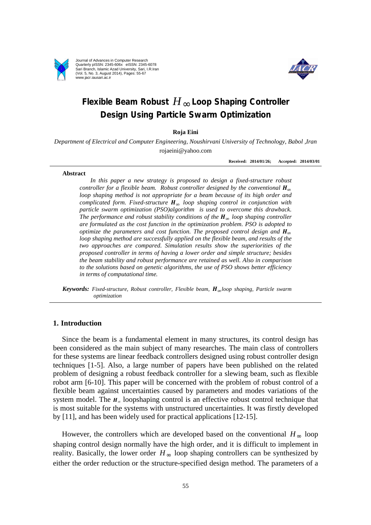

Journal of Advances in Computer Research Quarterly pISSN: 2345-606x eISSN: 2345-6078 Sari Branch, Islamic Azad University, Sari, I.R.Iran (Vol. 5, No. 3, August 2014), Pages: 55-67 www.jacr.iausari.ac.ir



# **Flexible Beam Robust** *H*∞ **Loop Shaping Controller Design Using Particle Swarm Optimization**

## **Roja Eini**

*Department of Electrical and Computer Engineering, Noushirvani University of Technology, Babol ,Iran*  rojaeini@yahoo.com

**Received: 2014/01/26; Accepted: 2014/03/01**

#### **Abstract**

*In this paper a new strategy is proposed to design a fixed-structure robust controller for a flexible beam. Robust controller designed by the conventional*  $\mathbf{H}_{\infty}$ *loop shaping method is not appropriate for a beam because of its high order and complicated form. Fixed-structure*  $H_{\infty}$  *loop shaping control in conjunction with particle swarm optimization (PSO)algorithm is used to overcome this drawback. The* performance and robust stability conditions of the  $H_{\infty}$  loop shaping controller *are formulated as the cost function in the optimization problem. PSO is adopted to optimize the parameters and cost function. The proposed control design and*  $H_{\infty}$ *loop shaping method are successfully applied on the flexible beam, and results of the two approaches are compared. Simulation results show the superiorities of the proposed controller in terms of having a lower order and simple structure; besides the beam stability and robust performance are retained as well. Also in comparison to the solutions based on genetic algorithms, the use of PSO shows better efficiency in terms of computational time.*

*Keywords: Fixed-structure, Robust controller, Flexible beam,*  $H_{\infty}$ *loop shaping, Particle swarm optimization*

# **1. Introduction**

Since the beam is a fundamental element in many structures, its control design has been considered as the main subject of many researches. The main class of controllers for these systems are linear feedback controllers designed using robust controller design techniques [1-5]. Also, a large number of papers have been published on the related problem of designing a robust feedback controller for a slewing beam, such as flexible robot arm [6-10]. This paper will be concerned with the problem of robust control of a flexible beam against uncertainties caused by parameters and modes variations of the system model. The  $H_{\infty}$  loopshaping control is an effective robust control technique that is most suitable for the systems with unstructured uncertainties. It was firstly developed by [11], and has been widely used for practical applications [12-15].

However, the controllers which are developed based on the conventional  $H_{\infty}$  loop shaping control design normally have the high order, and it is difficult to implement in reality. Basically, the lower order  $H_{\infty}$  loop shaping controllers can be synthesized by either the order reduction or the structure-specified design method. The parameters of a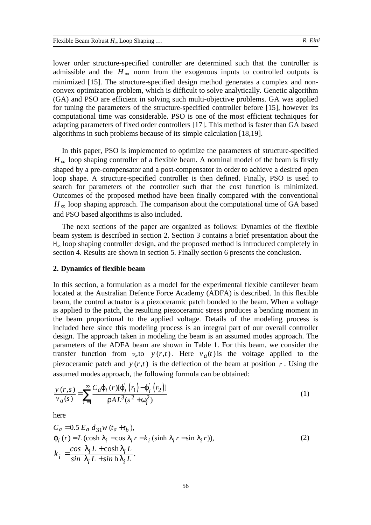lower order structure-specified controller are determined such that the controller is admissible and the  $H_{\infty}$  norm from the exogenous inputs to controlled outputs is minimized [15]. The structure-specified design method generates a complex and nonconvex optimization problem, which is difficult to solve analytically. Genetic algorithm (GA) and PSO are efficient in solving such multi-objective problems. GA was applied for tuning the parameters of the structure-specified controller before [15], however its computational time was considerable. PSO is one of the most efficient techniques for adapting parameters of fixed order controllers [17]. This method is faster than GA based algorithms in such problems because of its simple calculation [18,19].

In this paper, PSO is implemented to optimize the parameters of structure-specified  $H_{\infty}$  loop shaping controller of a flexible beam. A nominal model of the beam is firstly shaped by a pre-compensator and a post-compensator in order to achieve a desired open loop shape. A structure-specified controller is then defined. Finally, PSO is used to search for parameters of the controller such that the cost function is minimized. Outcomes of the proposed method have been finally compared with the conventional  $H_{\infty}$  loop shaping approach. The comparison about the computational time of GA based and PSO based algorithms is also included.

The next sections of the paper are organized as follows: Dynamics of the flexible beam system is described in section 2. Section 3 contains a brief presentation about the  $H<sub>∞</sub>$  loop shaping controller design, and the proposed method is introduced completely in section 4. Results are shown in section 5. Finally section 6 presents the conclusion.

# **2. Dynamics of flexible beam**

In this section, a formulation as a model for the experimental flexible cantilever beam located at the Australian Defence Force Academy (ADFA) is described. In this flexible beam, the control actuator is a piezoceramic patch bonded to the beam. When a voltage is applied to the patch, the resulting piezoceramic stress produces a bending moment in the beam proportional to the applied voltage. Details of the modeling process is included here since this modeling process is an integral part of our overall controller design. The approach taken in modeling the beam is an assumed modes approach. The parameters of the ADFA beam are shown in Table 1. For this beam, we consider the transfer function from  $v_a$  to  $y(r,t)$ . Here  $v_a(t)$  is the voltage applied to the piezoceramic patch and  $y(r,t)$  is the deflection of the beam at position r. Using the assumed modes approach, the following formula can be obtained:

$$
\frac{y(r,s)}{v_a(s)} = \sum_{i=1}^{\infty} \frac{C_a j_i(r) [j'_i(r_1) - j'_i(r_2)]}{r A L^3 (s^2 + w_i^2)}
$$
(1)

here

$$
C_a = 0.5 E_a d_{31} w (t_a + t_b),
$$
  
\n
$$
j_i(r) = L (\cosh l_i - \cos l_i r - k_i (\sinh l_i r - \sin l_i r)),
$$
  
\n
$$
k_i = \frac{\cos l_i L + \cosh l_i L}{\sin l_i L + \sin h l_i L}.
$$
\n(2)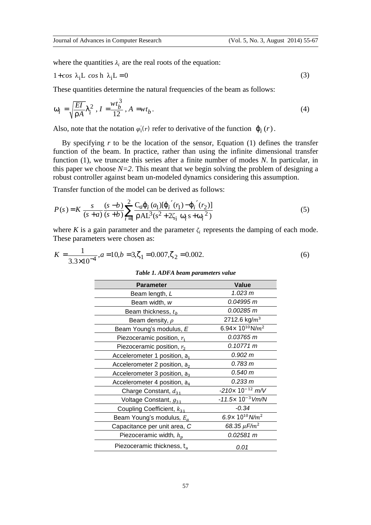where the quantities  $\lambda_i$  are the real roots of the equation:

$$
1 + \cos \lambda_{i} L \cos h \lambda_{i} L = 0
$$
 (3)

These quantities determine the natural frequencies of the beam as follows:

$$
w_i = \sqrt{\frac{EI}{rA}} I_i^2, I = \frac{wt_b^3}{12}, A = wt_b.
$$
 (4)

Also, note that the notation  $\varphi_i(r)$  refer to derivative of the function  $j_i(r)$ .

By specifying  $r$  to be the location of the sensor, Equation  $(1)$  defines the transfer function of the beam. In practice, rather than using the infinite dimensional transfer function (1), we truncate this series after a finite number of modes *N*. In particular, in this paper we choose  $N=2$ . This meant that we begin solving the problem of designing a robust controller against beam un-modeled dynamics considering this assumption.

Transfer function of the model can be derived as follows:

$$
P(s) = K \frac{s}{(s+a)} \frac{(s-b)}{(s+b)} \sum_{i=1}^{2} \frac{C_{a}j_{i}(a_{1})j'_{i}(r_{1}) - j'_{i}(r_{2})}{r A L^{3}(s^{2} + 2\zeta_{i} w_{i} s + w_{i}^{2})}
$$
(5)

where *K* is a gain parameter and the parameter  $\zeta_i$  represents the damping of each mode. These parameters were chosen as:

$$
K = \frac{1}{3.3 \times 10^{-4}}, a = 10, b = 3, z_1 = 0.007, z_2 = 0.002.
$$
 (6)

| Table 1. ADFA beam parameters value |  |  |
|-------------------------------------|--|--|

| <b>Parameter</b>                | Value                                           |  |
|---------------------------------|-------------------------------------------------|--|
| Beam length, L                  | 1.023 m                                         |  |
| Beam width, w                   | 0.04995 m                                       |  |
| Beam thickness, $t_h$           | 0.00285 m                                       |  |
| Beam density, $\rho$            | 2712.6 kg/ $m^3$                                |  |
| Beam Young's modulus, E         | 6.94 $\times$ 10 <sup>10</sup> N/m <sup>2</sup> |  |
| Piezoceramic position, $r_1$    | 0.03765 m                                       |  |
| Piezoceramic position, $r_2$    | 0.10771 m                                       |  |
| Accelerometer 1 position, $a_1$ | 0.902 m                                         |  |
| Accelerometer 2 position, $a_2$ | 0.783 m                                         |  |
| Accelerometer 3 position, $a_3$ | 0.540 m                                         |  |
| Accelerometer 4 position, $a_4$ | 0.233 m                                         |  |
| Charge Constant, $d_{31}$       | $-210\times10^{-12}$ m/V                        |  |
| Voltage Constant, $g_{31}$      | $-11.5\times10^{-3}$ Vm/N                       |  |
| Coupling Coefficient, $k_{31}$  | $-0.34$                                         |  |
| Beam Young's modulus, $E_a$     | 6.9 $\times$ 10 <sup>10</sup> N/m <sup>2</sup>  |  |
| Capacitance per unit area, C    | 68.35 $\mu$ F/m <sup>2</sup>                    |  |
| Piezoceramic width, $h_n$       | 0.02581 m                                       |  |
| Piezoceramic thickness, $t_a$   | 0.01                                            |  |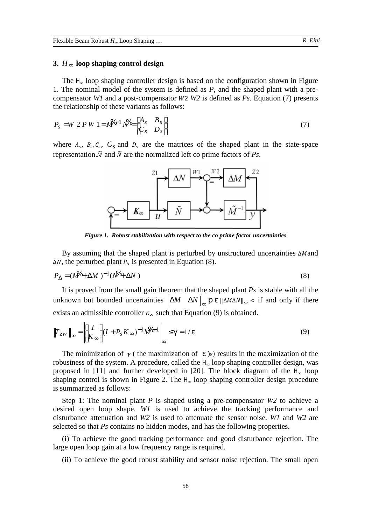## **3.** *H*∞ **loop shaping control design**

The  $H<sub>∞</sub>$  loop shaping controller design is based on the configuration shown in Figure 1. The nominal model of the system is defined as *P*, and the shaped plant with a precompensator *W1* and a post-compensator *W2 W2* is defined as *Ps*. Equation (7) presents the relationship of these variants as follows:

$$
P_s = W 2 P W 1 = M^{(-1)} N^{\mathcal{V}} = \begin{bmatrix} A_s & B_s \\ C_s & D_s \end{bmatrix} \tag{7}
$$

where  $A_s$ ,  $B_s$ ,  $C_s$ ,  $C_s$  and  $D_s$  are the matrices of the shaped plant in the state-space representation.  $\tilde{M}$  and  $\tilde{N}$  are the normalized left co prime factors of *Ps*.



*Figure 1. Robust stabilization with respect to the co prime factor uncertainties*

By assuming that the shaped plant is perturbed by unstructured uncertainties  $\Delta M$  and  $\Delta N$ , the perturbed plant  $P_{\Delta}$  is presented in Equation (8).

$$
P_{\Delta} = (M_0 + \Delta M)^{-1} (N_0 + \Delta N) \tag{8}
$$

It is proved from the small gain theorem that the shaped plant *Ps* is stable with all the unknown but bounded uncertainties  $\|\Delta M \|\Delta N\|_{\infty}$  **p**  $e \|\Delta M \Delta N\|_{\infty}$  if and only if there exists an admissible controller  $K_{\infty}$  such that Equation (9) is obtained.

$$
\|T_{zw}\|_{\infty} = \left\| \begin{bmatrix} I \\ K_{\infty} \end{bmatrix} (I + P_s K_{\infty})^{-1} M^{2} e^{-1} \right\|_{\infty} \leq g = 1/e \tag{9}
$$

The minimization of  $\gamma$  ( the maximization of *e* ) $\varepsilon$ ) results in the maximization of the robustness of the system. A procedure, called the  $H_{\infty}$  loop shaping controller design, was proposed in [11] and further developed in [20]. The block diagram of the  $H_{\infty}$  loop shaping control is shown in Figure 2. The  $H<sub>∞</sub>$  loop shaping controller design procedure is summarized as follows:

Step 1: The nominal plant *P* is shaped using a pre-compensator *W2* to achieve a desired open loop shape. *W1* is used to achieve the tracking performance and disturbance attenuation and *W2* is used to attenuate the sensor noise. *W1* and *W2* are selected so that *Ps* contains no hidden modes, and has the following properties.

(i) To achieve the good tracking performance and good disturbance rejection. The large open loop gain at a low frequency range is required.

(ii) To achieve the good robust stability and sensor noise rejection. The small open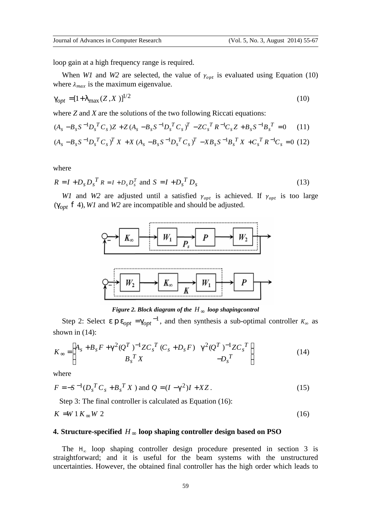loop gain at a high frequency range is required.

When *W1* and *W2* are selected, the value of  $\gamma_{opt}$  is evaluated using Equation (10) where  $\lambda_{max}$  is the maximum eigenvalue.

$$
g_{opt} = [1 + I_{\text{max}}(Z, X)]^{1/2}
$$
 (10)

where *Z* and *X* are the solutions of the two following Riccati equations:

$$
(A_s - B_s S^{-1} D_s^T C_s) Z + Z (A_s - B_s S^{-1} D_s^T C_s)^T - Z C_s^T R^{-1} C_s Z + B_s S^{-1} B_s^T = 0 \tag{11}
$$

$$
(A_s - B_s S^{-1} D_s^T C_s)^T X + X (A_s - B_s S^{-1} D_s^T C_s)^T - X B_s S^{-1} B_s^T X + C_s^T R^{-1} C_s = 0
$$
 (12)

where

$$
R = I + Ds DsT R = I + Ds DsT and S = I + DsT Ds
$$
 (13)

*W1* and *W2* are adjusted until a satisfied  $\gamma_{opt}$  is achieved. If  $\gamma_{opt}$  is too large ( $g_{opt}$  **f** 4), *W1* and *W2* are incompatible and should be adjusted.



*Figure 2. Block diagram of the H*<sup>∞</sup> *loop shapingcontrol*

Step 2: Select  $e \mathbf{p} e_{opt} = g_{opt}^{-1}$ , and then synthesis a sub-optimal controller  $K_{\infty}$  as shown in (14):

$$
K_{\infty} = \begin{bmatrix} A_s + B_s F + g^2 (Q^T)^{-1} Z C_s^T (C_s + D_s F) & g^2 (Q^T)^{-1} Z C_s^T \\ B_s^T X & -D_s^T \end{bmatrix}
$$
(14)

where

$$
F = -S^{-1} (D_s^T C_s + B_s^T X) \text{ and } Q = (I - g^2)I + XZ. \tag{15}
$$

Step 3: The final controller is calculated as Equation (16):

$$
K = W 1 K_{\infty} W 2 \tag{16}
$$

## **4. Structure-specified** *H*∞ **loop shaping controller design based on PSO**

The  $H_{\infty}$  loop shaping controller design procedure presented in section 3 is straightforward; and it is useful for the beam systems with the unstructured uncertainties. However, the obtained final controller has the high order which leads to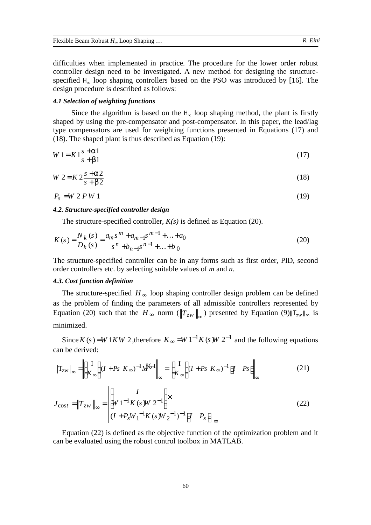difficulties when implemented in practice. The procedure for the lower order robust controller design need to be investigated. A new method for designing the structurespecified  $H_{\infty}$  loop shaping controllers based on the PSO was introduced by [16]. The design procedure is described as follows:

## *4.1 Selection of weighting functions*

Since the algorithm is based on the  $H_{\infty}$  loop shaping method, the plant is firstly shaped by using the pre-compensator and post-compensator. In this paper, the lead/lag type compensators are used for weighting functions presented in Equations (17) and (18). The shaped plant is thus described as Equation (19):

$$
W1 = K1 \frac{s + a1}{s + b1} \tag{17}
$$

$$
W 2 = K 2 \frac{s + a2}{s + b2} \tag{18}
$$

$$
P_s = W 2 P W 1 \tag{19}
$$

# *4.2. Structure-specified controller design*

The structure-specified controller, *K(s)* is defined as Equation (20).

$$
K(s) = \frac{N_k(s)}{D_k(s)} = \frac{a_m s^m + a_{m-1} s^{m-1} + \dots + a_0}{s^n + b_{n-1} s^{n-1} + \dots + b_0}
$$
(20)

The structure-specified controller can be in any forms such as first order, PID, second order controllers etc. by selecting suitable values of *m* and *n*.

## *4.3. Cost function definition*

The structure-specified *H*∞ loop shaping controller design problem can be defined as the problem of finding the parameters of all admissible controllers represented by Equation (20) such that the  $H_{\infty}$  norm ( $T_{zw} \parallel_{\infty}$ ) presented by Equation (9)  $T_{zw} \parallel_{\infty}$  is minimized.

Since *K* (*s*) =*W* 1*KW* 2, therefore  $K_{\infty} = W 1^{-1} K$  (*s*) *W* 2<sup>-1</sup> and the following equations can be derived:

$$
\|\mathbf{T}_{\text{zw}}\|_{\infty} = \left\|\begin{bmatrix} I \\ K_{\infty} \end{bmatrix} (I + Ps \ K_{\infty})^{-1} M^{2} \right\|_{\infty} = \left\|\begin{bmatrix} I \\ K_{\infty} \end{bmatrix} (I + Ps \ K_{\infty})^{-1} \begin{bmatrix} I & Ps \end{bmatrix}\right\|_{\infty}
$$
(21)

$$
J_{\text{cost}} = \|T_{zw}\|_{\infty} = \left\| \begin{bmatrix} I \\ W \, 1^{-1} K \, (s \, W \, 2^{-1}) \end{bmatrix} \times \left\| I - P_s \right\|_{\infty} \right\|_{\infty}
$$
 (22)

Equation (22) is defined as the objective function of the optimization problem and it can be evaluated using the robust control toolbox in MATLAB.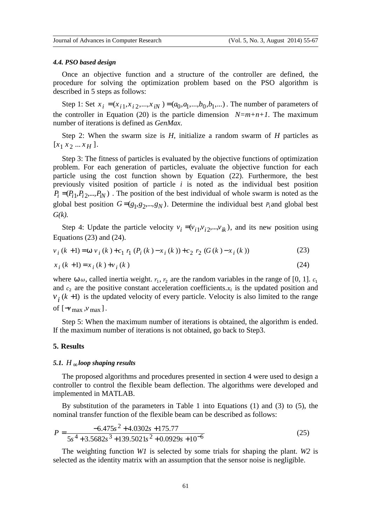#### *4.4. PSO based design*

Once an objective function and a structure of the controller are defined, the procedure for solving the optimization problem based on the PSO algorithm is described in 5 steps as follows:

Step 1: Set  $x_i = (x_{i1}, x_{i2},..., x_{iN}) = (a_0, a_1,...,b_0, b_1,...)$ . The number of parameters of the controller in Equation (20) is the particle dimension  $N=m+n+1$ . The maximum number of iterations is defined as *GenMax*.

Step 2: When the swarm size is *H*, initialize a random swarm of *H* particles as  $[x_1 x_2 ... x_H].$ 

Step 3: The fitness of particles is evaluated by the objective functions of optimization problem. For each generation of particles, evaluate the objective function for each particle using the cost function shown by Equation (22). Furthermore, the best previously visited position of particle *i* is noted as the individual best position  $P_i = (P_{i1}, P_{i2},..., P_{iN})$ . The position of the best individual of whole swarm is noted as the global best position  $G = (g_1, g_2, ..., g_N)$ . Determine the individual best  $P_i$  and global best *G(k).*

Step 4: Update the particle velocity  $v_i = (v_{i1}, v_{i2}, ..., v_{ik})$ , and its new position using Equations  $(23)$  and  $(24)$ .

$$
v_i(k+1) = w v_i(k) + c_1 r_1 (P_i(k) - x_i(k)) + c_2 r_2 (G(k) - x_i(k))
$$
\n(23)

$$
x_i (k+1) = x_i (k) + v_i (k)
$$
\n(24)

where  $w \omega$ , called inertia weight.  $r_1$ ,  $r_2$  are the random variables in the range of [0, 1]. and  $c_2$  are the positive constant acceleration coefficients. $x_i$  is the updated position and  $v_i(k+1)$  is the updated velocity of every particle. Velocity is also limited to the range of  $[\neg v_{\text{max}} , v_{\text{max}} ]$ .

Step 5: When the maximum number of iterations is obtained, the algorithm is ended. If the maximum number of iterations is not obtained, go back to Step3.

#### **5. Results**

## *5.1. H*∞ *loop shaping results*

The proposed algorithms and procedures presented in section 4 were used to design a controller to control the flexible beam deflection. The algorithms were developed and implemented in MATLAB.

By substitution of the parameters in Table 1 into Equations (1) and (3) to (5), the nominal transfer function of the flexible beam can be described as follows:

$$
P = \frac{-6.475s^2 + 4.0302s + 175.77}{5s^4 + 3.5682s^3 + 139.5021s^2 + 0.0929s + 10^{-6}}
$$
(25)

The weighting function *W1* is selected by some trials for shaping the plant. *W2* is selected as the identity matrix with an assumption that the sensor noise is negligible.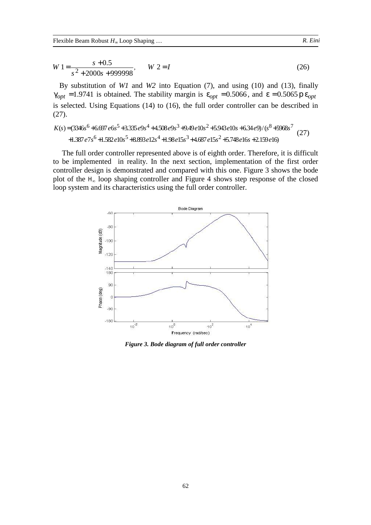$$
W1 = \frac{s + 0.5}{s^2 + 2000s + 999998}, \qquad W2 = I
$$
 (26)

By substitution of *W1* and *W2* into Equation (7), and using (10) and (13), finally  $g_{opt} = 1.9741$  is obtained. The stability margin is  $e_{opt} = 0.5066$ , and  $e = 0.5065$  **p**  $e_{opt}$ is selected. Using Equations (14) to (16), the full order controller can be described in (27).

$$
K(s) = (3346s6 + 6.697e6s5 + 3.335e9s4 + 4.508e9s3 + 9.49e10s2 + 5.943e10s + 6.34e9/(s8 + 5968s7 + 1.387e7s6 + 1.582e10s5 + 8.893e12s4 + 1.98e15s3 + 4.687e15s2 + 5.748e16s + 2.159e16)
$$
 (27)

The full order controller represented above is of eighth order. Therefore, it is difficult to be implemented in reality. In the next section, implementation of the first order controller design is demonstrated and compared with this one. Figure 3 shows the bode plot of the  $H_{\infty}$  loop shaping controller and Figure 4 shows step response of the closed loop system and its characteristics using the full order controller.



*Figure 3. Bode diagram of full order controller*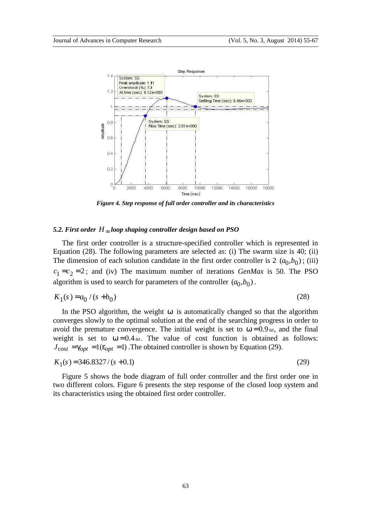

*Figure 4. Step response of full order controller and its characteristics*

# *5.2. First order H*∞ *loop shaping controller design based on PSO*

The first order controller is a structure-specified controller which is represented in Equation (28). The following parameters are selected as: (i) The swarm size is 40; (ii) The dimension of each solution candidate in the first order controller is 2  $(a_0, b_0)$ ; (iii)  $c_1 = c_2 = 2$ ; and (iv) The maximum number of iterations *GenMax* is 50. The PSO algorithm is used to search for parameters of the controller  $(a_0, b_0)$ .

$$
K_1(s) = a_0 / (s + b_0)
$$
 (28)

In the PSO algorithm, the weight *w* is automatically changed so that the algorithm converges slowly to the optimal solution at the end of the searching progress in order to avoid the premature convergence. The initial weight is set to  $w = 0.9 \omega$ , and the final weight is set to  $w = 0.4 \omega$ . The value of cost function is obtained as follows:  $J_{\text{cost}} = g_{opt} = 1(e_{opt} = 1)$ . The obtained controller is shown by Equation (29).

$$
K_1(s) = 346.8327 / (s + 0.1)
$$
\n(29)

Figure 5 shows the bode diagram of full order controller and the first order one in two different colors. Figure 6 presents the step response of the closed loop system and its characteristics using the obtained first order controller.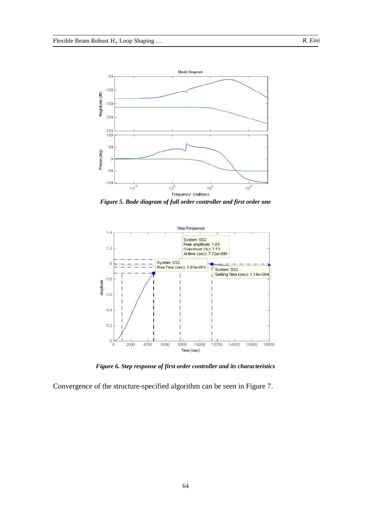

*Figure 5. Bode diagram of full order controller and first order one* 



*Figure 6. Step response of first order controller and its characteristics*

Convergence of the structure-specified algorithm can be seen in Figure 7.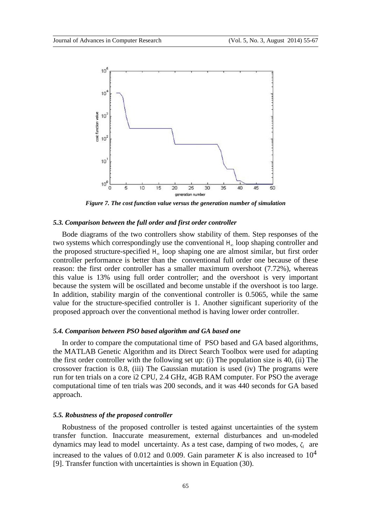

*Figure 7. The cost function value versus the generation number of simulation*

# *5.3. Comparison between the full order and first order controller*

Bode diagrams of the two controllers show stability of them. Step responses of the two systems which correspondingly use the conventional H<sup>∞</sup> loop shaping controller and the proposed structure-specified H<sup>∞</sup> loop shaping one are almost similar, but first order controller performance is better than the conventional full order one because of these reason: the first order controller has a smaller maximum overshoot (7.72%), whereas this value is 13% using full order controller; and the overshoot is very important because the system will be oscillated and become unstable if the overshoot is too large. In addition, stability margin of the conventional controller is 0.5065, while the same value for the structure-specified controller is 1. Another significant superiority of the proposed approach over the conventional method is having lower order controller.

# *5.4. Comparison between PSO based algorithm and GA based one*

In order to compare the computational time of PSO based and GA based algorithms, the MATLAB Genetic Algorithm and its Direct Search Toolbox were used for adapting the first order controller with the following set up: (i) The population size is 40, (ii) The crossover fraction is 0.8, (iii) The Gaussian mutation is used (iv) The programs were run for ten trials on a core i2 CPU, 2.4 GHz, 4GB RAM computer. For PSO the average computational time of ten trials was 200 seconds, and it was 440 seconds for GA based approach.

## *5.5. Robustness of the proposed controller*

Robustness of the proposed controller is tested against uncertainties of the system transfer function. Inaccurate measurement, external disturbances and un-modeled dynamics may lead to model uncertainty. As a test case, damping of two modes,  $\zeta_i$  are increased to the values of 0.012 and 0.009. Gain parameter *K* is also increased to  $10^4$ [9]. Transfer function with uncertainties is shown in Equation (30).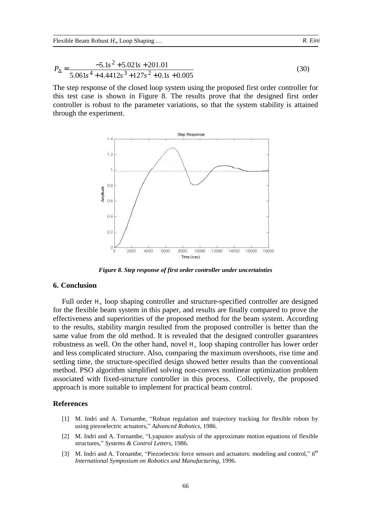$$
P_{\Delta} = \frac{-5.1s^2 + 5.021s + 201.01}{5.061s^4 + 4.4412s^3 + 127s^2 + 0.1s + 0.005}
$$
(30)

The step response of the closed loop system using the proposed first order controller for this test case is shown in Figure 8. The results prove that the designed first order controller is robust to the parameter variations, so that the system stability is attained through the experiment.



*Figure 8. Step response of first order controller under uncertainties*

# **6. Conclusion**

Full order  $H_{\infty}$  loop shaping controller and structure-specified controller are designed for the flexible beam system in this paper, and results are finally compared to prove the effectiveness and superiorities of the proposed method for the beam system. According to the results, stability margin resulted from the proposed controller is better than the same value from the old method. It is revealed that the designed controller guarantees robustness as well. On the other hand, novel  $H_{\infty}$  loop shaping controller has lower order and less complicated structure. Also, comparing the maximum overshoots, rise time and settling time, the structure-specified design showed better results than the conventional method. PSO algorithm simplified solving non-convex nonlinear optimization problem associated with fixed-structure controller in this process. Collectively, the proposed approach is more suitable to implement for practical beam control.

# **References**

- [1] M. Indri and A. Tornambe, "Robust regulation and trajectory tracking for flexible robots by using piezoelectric actuators," *Advanced Robotics*, 1986.
- [2] M. Indri and A. Tornambe, "Lyapunov analysis of the approximate motion equations of flexible structures," *Systems & Control Letters*, 1986.
- [3] M. Indri and A. Tornambe, "Piezoelectric force sensors and actuators: modeling and control," *6 th International Symposium on Robotics and Manufacturing*, 1996.